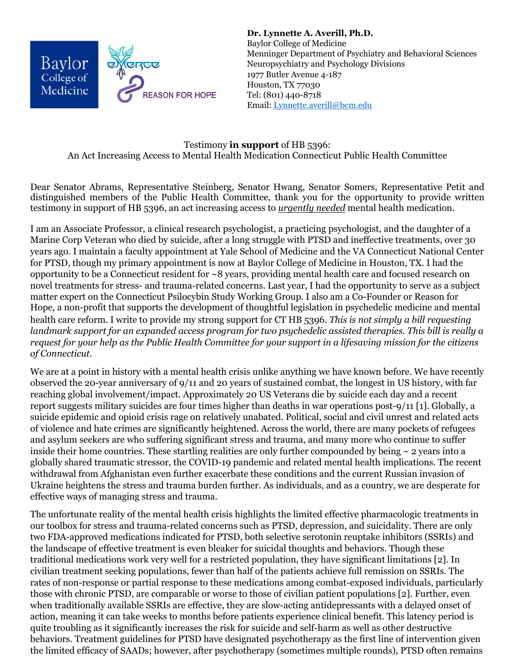

**Dr. Lynnette A. Averill, Ph.D.**  Baylor College of Medicine Menninger Department of Psychiatry and Behavioral Sciences Neuropsychiatry and Psychology Divisions 1977 Butler Avenue 4-187 Houston, TX 77030 Tel: (801) 440-8718 Email: Lynnette.averill@bcm.edu

## Testimony **in support** of HB 5396: An Act Increasing Access to Mental Health Medication Connecticut Public Health Committee

Dear Senator Abrams, Representative Steinberg, Senator Hwang, Senator Somers, Representative Petit and distinguished members of the Public Health Committee, thank you for the opportunity to provide written testimony in support of HB 5396, an act increasing access to *urgently needed* mental health medication.

I am an Associate Professor, a clinical research psychologist, a practicing psychologist, and the daughter of a Marine Corp Veteran who died by suicide, after a long struggle with PTSD and ineffective treatments, over 30 years ago. I maintain a faculty appointment at Yale School of Medicine and the VA Connecticut National Center for PTSD, though my primary appointment is now at Baylor College of Medicine in Houston, TX. I had the opportunity to be a Connecticut resident for ~8 years, providing mental health care and focused research on novel treatments for stress- and trauma-related concerns. Last year, I had the opportunity to serve as a subject matter expert on the Connecticut Psilocybin Study Working Group. I also am a Co-Founder or Reason for Hope, a non-profit that supports the development of thoughtful legislation in psychedelic medicine and mental health care reform. I write to provide my strong support for CT HB 5396. *This is not simply a bill requesting landmark support for an expanded access program for two psychedelic assisted therapies. This bill is really a request for your help as the Public Health Committee for your support in a lifesaving mission for the citizens of Connecticut.*

We are at a point in history with a mental health crisis unlike anything we have known before. We have recently observed the 20-year anniversary of 9/11 and 20 years of sustained combat, the longest in US history, with far reaching global involvement/impact. Approximately 20 US Veterans die by suicide each day and a recent report suggests military suicides are four times higher than deaths in war operations post-9/11 [1]. Globally, a suicide epidemic and opioid crisis rage on relatively unabated. Political, social and civil unrest and related acts of violence and hate crimes are significantly heightened. Across the world, there are many pockets of refugees and asylum seekers are who suffering significant stress and trauma, and many more who continue to suffer inside their home countries. These startling realities are only further compounded by being ~ 2 years into a globally shared traumatic stressor, the COVID-19 pandemic and related mental health implications. The recent withdrawal from Afghanistan even further exacerbate these conditions and the current Russian invasion of Ukraine heightens the stress and trauma burden further. As individuals, and as a country, we are desperate for effective ways of managing stress and trauma.

The unfortunate reality of the mental health crisis highlights the limited effective pharmacologic treatments in our toolbox for stress and trauma-related concerns such as PTSD, depression, and suicidality. There are only two FDA-approved medications indicated for PTSD, both selective serotonin reuptake inhibitors (SSRIs) and the landscape of effective treatment is even bleaker for suicidal thoughts and behaviors. Though these traditional medications work very well for a restricted population, they have significant limitations [2]. In civilian treatment seeking populations, fewer than half of the patients achieve full remission on SSRIs. The rates of non-response or partial response to these medications among combat-exposed individuals, particularly those with chronic PTSD, are comparable or worse to those of civilian patient populations [2]. Further, even when traditionally available SSRIs are effective, they are slow-acting antidepressants with a delayed onset of action, meaning it can take weeks to months before patients experience clinical benefit. This latency period is quite troubling as it significantly increases the risk for suicide and self-harm as well as other destructive behaviors. Treatment guidelines for PTSD have designated psychotherapy as the first line of intervention given the limited efficacy of SAADs; however, after psychotherapy (sometimes multiple rounds), PTSD often remains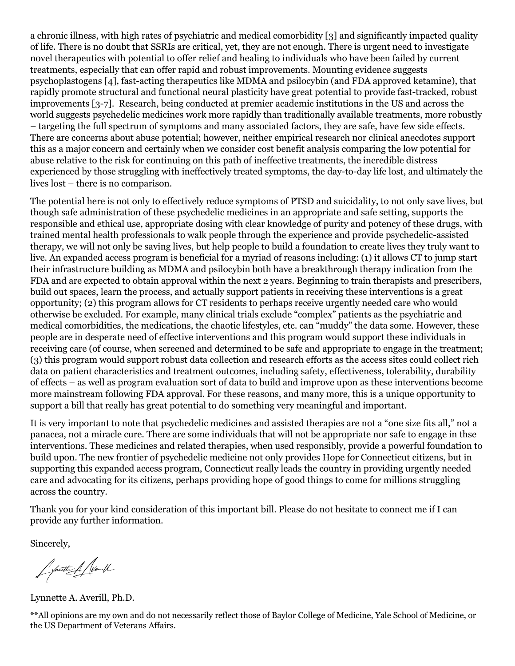a chronic illness, with high rates of psychiatric and medical comorbidity [3] and significantly impacted quality of life. There is no doubt that SSRIs are critical, yet, they are not enough. There is urgent need to investigate novel therapeutics with potential to offer relief and healing to individuals who have been failed by current treatments, especially that can offer rapid and robust improvements. Mounting evidence suggests psychoplastogens [4], fast-acting therapeutics like MDMA and psilocybin (and FDA approved ketamine), that rapidly promote structural and functional neural plasticity have great potential to provide fast-tracked, robust improvements [3-7]. Research, being conducted at premier academic institutions in the US and across the world suggests psychedelic medicines work more rapidly than traditionally available treatments, more robustly – targeting the full spectrum of symptoms and many associated factors, they are safe, have few side effects. There are concerns about abuse potential; however, neither empirical research nor clinical anecdotes support this as a major concern and certainly when we consider cost benefit analysis comparing the low potential for abuse relative to the risk for continuing on this path of ineffective treatments, the incredible distress experienced by those struggling with ineffectively treated symptoms, the day-to-day life lost, and ultimately the lives lost – there is no comparison.

The potential here is not only to effectively reduce symptoms of PTSD and suicidality, to not only save lives, but though safe administration of these psychedelic medicines in an appropriate and safe setting, supports the responsible and ethical use, appropriate dosing with clear knowledge of purity and potency of these drugs, with trained mental health professionals to walk people through the experience and provide psychedelic-assisted therapy, we will not only be saving lives, but help people to build a foundation to create lives they truly want to live. An expanded access program is beneficial for a myriad of reasons including: (1) it allows CT to jump start their infrastructure building as MDMA and psilocybin both have a breakthrough therapy indication from the FDA and are expected to obtain approval within the next 2 years. Beginning to train therapists and prescribers, build out spaces, learn the process, and actually support patients in receiving these interventions is a great opportunity; (2) this program allows for CT residents to perhaps receive urgently needed care who would otherwise be excluded. For example, many clinical trials exclude "complex" patients as the psychiatric and medical comorbidities, the medications, the chaotic lifestyles, etc. can "muddy" the data some. However, these people are in desperate need of effective interventions and this program would support these individuals in receiving care (of course, when screened and determined to be safe and appropriate to engage in the treatment; (3) this program would support robust data collection and research efforts as the access sites could collect rich data on patient characteristics and treatment outcomes, including safety, effectiveness, tolerability, durability of effects – as well as program evaluation sort of data to build and improve upon as these interventions become more mainstream following FDA approval. For these reasons, and many more, this is a unique opportunity to support a bill that really has great potential to do something very meaningful and important.

It is very important to note that psychedelic medicines and assisted therapies are not a "one size fits all," not a panacea, not a miracle cure. There are some individuals that will not be appropriate nor safe to engage in thse interventions. These medicines and related therapies, when used responsibly, provide a powerful foundation to build upon. The new frontier of psychedelic medicine not only provides Hope for Connecticut citizens, but in supporting this expanded access program, Connecticut really leads the country in providing urgently needed care and advocating for its citizens, perhaps providing hope of good things to come for millions struggling across the country.

Thank you for your kind consideration of this important bill. Please do not hesitate to connect me if I can provide any further information.

Sincerely,

f particulation

Lynnette A. Averill, Ph.D.

\*\*All opinions are my own and do not necessarily reflect those of Baylor College of Medicine, Yale School of Medicine, or the US Department of Veterans Affairs.